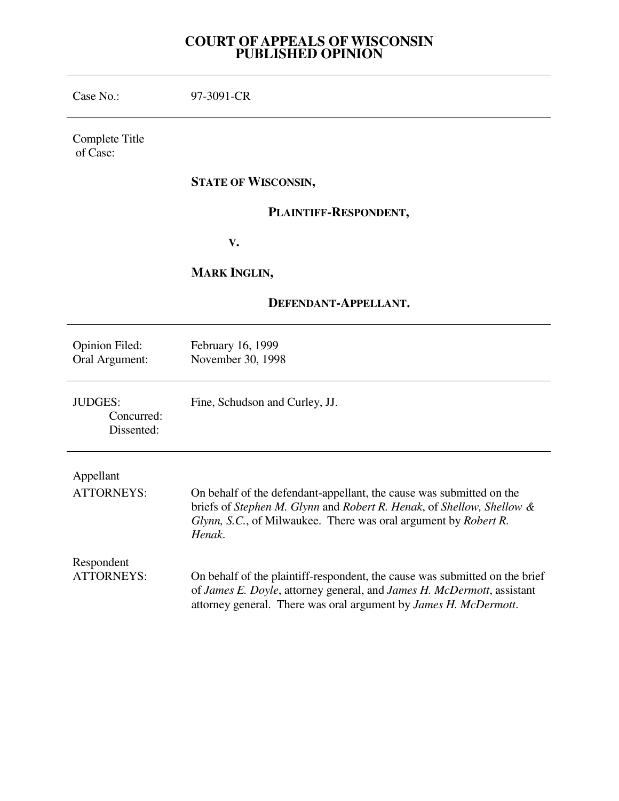# **COURT OF APPEALS OF WISCONSIN PUBLISHED OPINION**

| Case No.:                                  | 97-3091-CR                                                                                                                                                                                                                 |
|--------------------------------------------|----------------------------------------------------------------------------------------------------------------------------------------------------------------------------------------------------------------------------|
| Complete Title<br>of Case:                 |                                                                                                                                                                                                                            |
|                                            | <b>STATE OF WISCONSIN,</b>                                                                                                                                                                                                 |
|                                            | PLAINTIFF-RESPONDENT,                                                                                                                                                                                                      |
|                                            | V.                                                                                                                                                                                                                         |
|                                            | <b>MARK INGLIN,</b>                                                                                                                                                                                                        |
| DEFENDANT-APPELLANT.                       |                                                                                                                                                                                                                            |
| <b>Opinion Filed:</b><br>Oral Argument:    | February 16, 1999<br>November 30, 1998                                                                                                                                                                                     |
| <b>JUDGES:</b><br>Concurred:<br>Dissented: | Fine, Schudson and Curley, JJ.                                                                                                                                                                                             |
| Appellant<br><b>ATTORNEYS:</b>             | On behalf of the defendant-appellant, the cause was submitted on the<br>briefs of Stephen M. Glynn and Robert R. Henak, of Shellow, Shellow &<br>Glynn, S.C., of Milwaukee. There was oral argument by Robert R.<br>Henak. |
| Respondent<br><b>ATTORNEYS:</b>            | On behalf of the plaintiff-respondent, the cause was submitted on the brief<br>of James E. Doyle, attorney general, and James H. McDermott, assistant<br>attorney general. There was oral argument by James H. McDermott.  |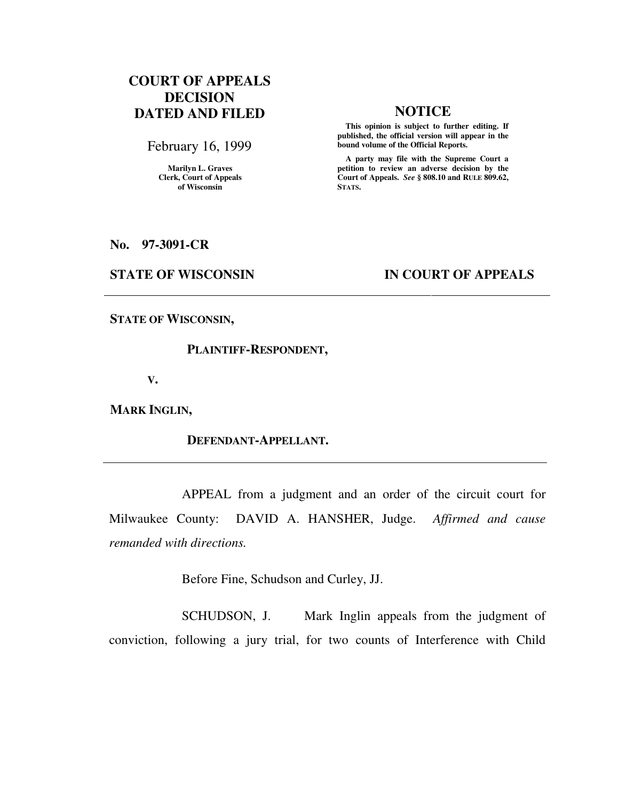# **COURT OF APPEALS DECISION DATED AND FILED NOTICE**

February 16, 1999

**Marilyn L. Graves Clerk, Court of Appeals of Wisconsin** 

 **This opinion is subject to further editing. If published, the official version will appear in the bound volume of the Official Reports.**

 **A party may file with the Supreme Court a petition to review an adverse decision by the Court of Appeals.** *See* **§ 808.10 and RULE 809.62, STATS.** 

**No. 97-3091-CR** 

### **STATE OF WISCONSIN IN COURT OF APPEALS**

**STATE OF WISCONSIN,** 

#### **PLAINTIFF-RESPONDENT,**

 **V.** 

**MARK INGLIN,** 

### **DEFENDANT-APPELLANT.**

 APPEAL from a judgment and an order of the circuit court for Milwaukee County: DAVID A. HANSHER, Judge. *Affirmed and cause remanded with directions.*

Before Fine, Schudson and Curley, JJ.

SCHUDSON, J. Mark Inglin appeals from the judgment of conviction, following a jury trial, for two counts of Interference with Child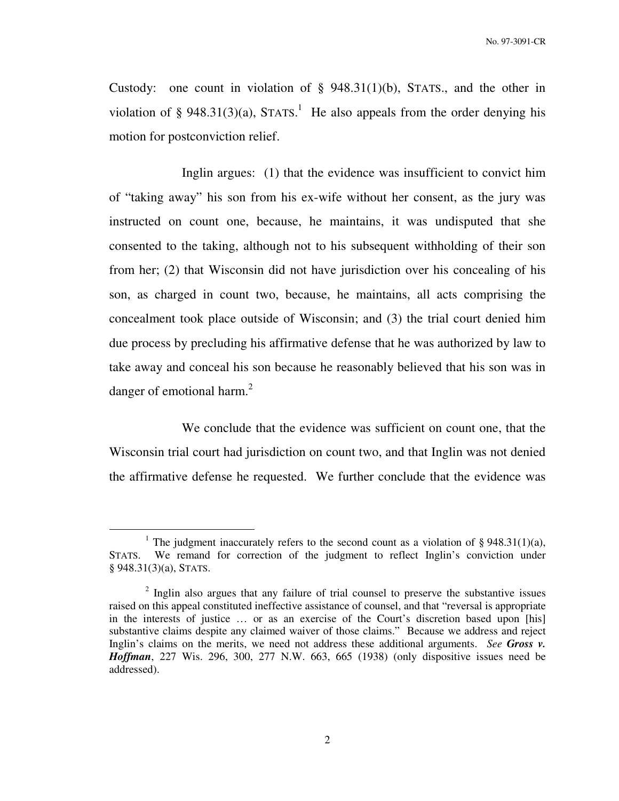Custody: one count in violation of § 948.31(1)(b), STATS., and the other in violation of § 948.31(3)(a), STATS.<sup>1</sup> He also appeals from the order denying his motion for postconviction relief.

 Inglin argues: (1) that the evidence was insufficient to convict him of "taking away" his son from his ex-wife without her consent, as the jury was instructed on count one, because, he maintains, it was undisputed that she consented to the taking, although not to his subsequent withholding of their son from her; (2) that Wisconsin did not have jurisdiction over his concealing of his son, as charged in count two, because, he maintains, all acts comprising the concealment took place outside of Wisconsin; and (3) the trial court denied him due process by precluding his affirmative defense that he was authorized by law to take away and conceal his son because he reasonably believed that his son was in danger of emotional harm. $^{2}$ 

 We conclude that the evidence was sufficient on count one, that the Wisconsin trial court had jurisdiction on count two, and that Inglin was not denied the affirmative defense he requested. We further conclude that the evidence was

<sup>&</sup>lt;sup>1</sup> The judgment inaccurately refers to the second count as a violation of  $\S 948.31(1)(a)$ , STATS. We remand for correction of the judgment to reflect Inglin's conviction under § 948.31(3)(a), STATS.

<sup>&</sup>lt;sup>2</sup> Inglin also argues that any failure of trial counsel to preserve the substantive issues raised on this appeal constituted ineffective assistance of counsel, and that "reversal is appropriate in the interests of justice … or as an exercise of the Court's discretion based upon [his] substantive claims despite any claimed waiver of those claims." Because we address and reject Inglin's claims on the merits, we need not address these additional arguments. *See Gross v. Hoffman*, 227 Wis. 296, 300, 277 N.W. 663, 665 (1938) (only dispositive issues need be addressed).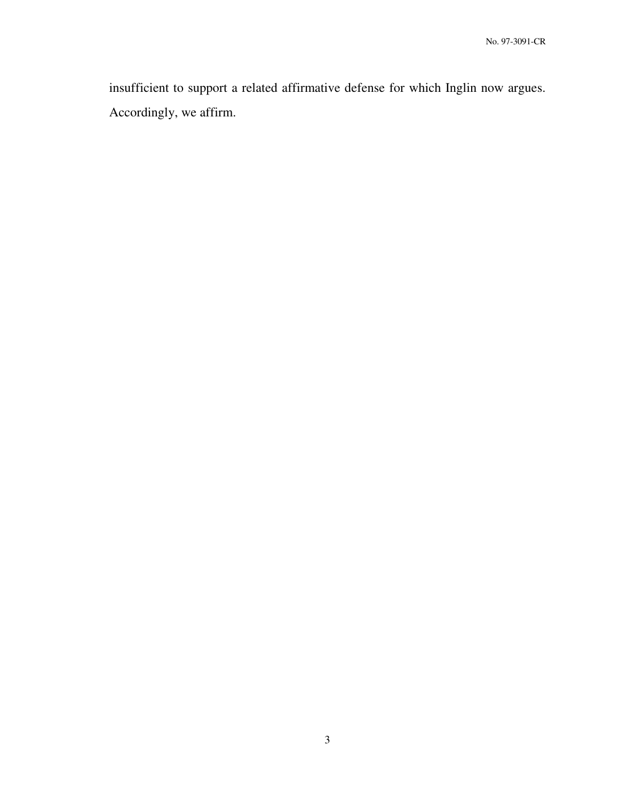insufficient to support a related affirmative defense for which Inglin now argues. Accordingly, we affirm.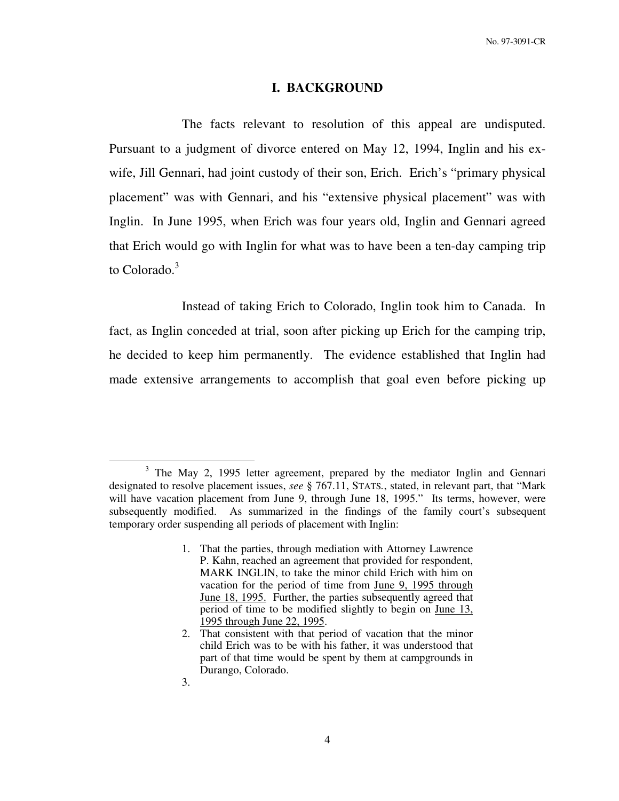#### **I. BACKGROUND**

 The facts relevant to resolution of this appeal are undisputed. Pursuant to a judgment of divorce entered on May 12, 1994, Inglin and his exwife, Jill Gennari, had joint custody of their son, Erich. Erich's "primary physical placement" was with Gennari, and his "extensive physical placement" was with Inglin. In June 1995, when Erich was four years old, Inglin and Gennari agreed that Erich would go with Inglin for what was to have been a ten-day camping trip to Colorado.<sup>3</sup>

 Instead of taking Erich to Colorado, Inglin took him to Canada. In fact, as Inglin conceded at trial, soon after picking up Erich for the camping trip, he decided to keep him permanently. The evidence established that Inglin had made extensive arrangements to accomplish that goal even before picking up

<sup>&</sup>lt;sup>3</sup> The May 2, 1995 letter agreement, prepared by the mediator Inglin and Gennari designated to resolve placement issues, *see* § 767.11, STATS*.*, stated, in relevant part, that "Mark will have vacation placement from June 9, through June 18, 1995." Its terms, however, were subsequently modified. As summarized in the findings of the family court's subsequent temporary order suspending all periods of placement with Inglin:

<sup>1.</sup> That the parties, through mediation with Attorney Lawrence P. Kahn, reached an agreement that provided for respondent, MARK INGLIN, to take the minor child Erich with him on vacation for the period of time from June 9, 1995 through June 18, 1995. Further, the parties subsequently agreed that period of time to be modified slightly to begin on June 13, 1995 through June 22, 1995.

<sup>2.</sup> That consistent with that period of vacation that the minor child Erich was to be with his father, it was understood that part of that time would be spent by them at campgrounds in Durango, Colorado.

<sup>3.</sup>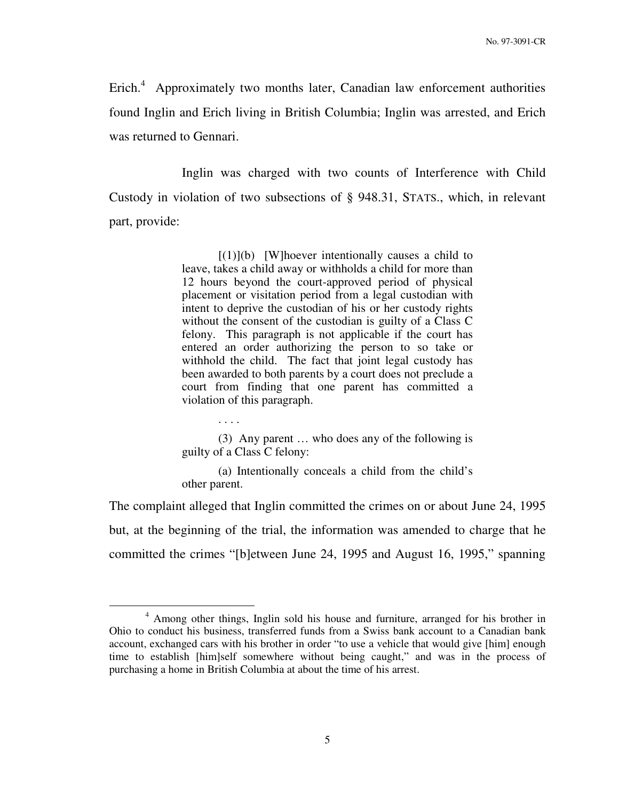Erich. $4$  Approximately two months later, Canadian law enforcement authorities found Inglin and Erich living in British Columbia; Inglin was arrested, and Erich was returned to Gennari.

 Inglin was charged with two counts of Interference with Child Custody in violation of two subsections of § 948.31, STATS., which, in relevant part, provide:

> $[(1)](b)$  [W]hoever intentionally causes a child to leave, takes a child away or withholds a child for more than 12 hours beyond the court-approved period of physical placement or visitation period from a legal custodian with intent to deprive the custodian of his or her custody rights without the consent of the custodian is guilty of a Class C felony. This paragraph is not applicable if the court has entered an order authorizing the person to so take or withhold the child. The fact that joint legal custody has been awarded to both parents by a court does not preclude a court from finding that one parent has committed a violation of this paragraph.

> (3) Any parent … who does any of the following is guilty of a Class C felony:

. . . .

 $\overline{a}$ 

 (a) Intentionally conceals a child from the child's other parent.

The complaint alleged that Inglin committed the crimes on or about June 24, 1995 but, at the beginning of the trial, the information was amended to charge that he committed the crimes "[b]etween June 24, 1995 and August 16, 1995," spanning

<sup>&</sup>lt;sup>4</sup> Among other things, Inglin sold his house and furniture, arranged for his brother in Ohio to conduct his business, transferred funds from a Swiss bank account to a Canadian bank account, exchanged cars with his brother in order "to use a vehicle that would give [him] enough time to establish [him]self somewhere without being caught," and was in the process of purchasing a home in British Columbia at about the time of his arrest.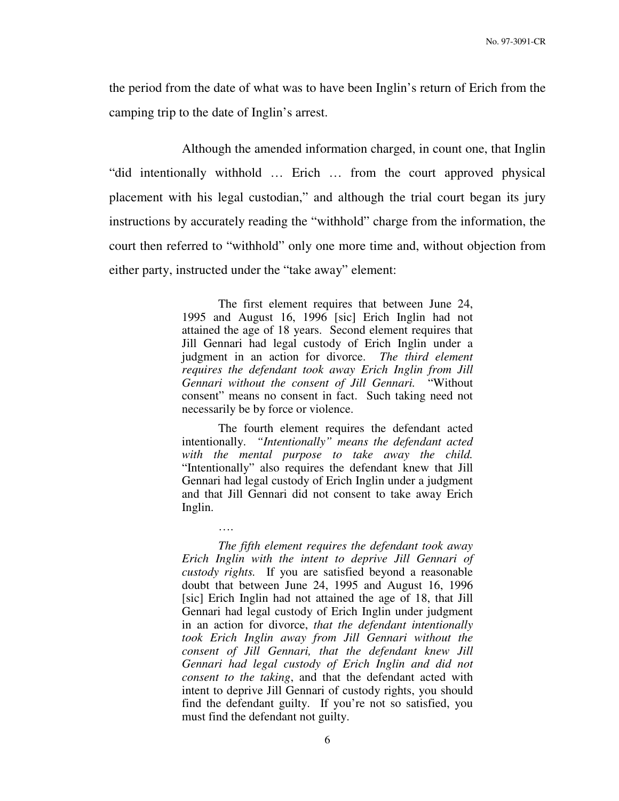the period from the date of what was to have been Inglin's return of Erich from the camping trip to the date of Inglin's arrest.

 Although the amended information charged, in count one, that Inglin "did intentionally withhold … Erich … from the court approved physical placement with his legal custodian," and although the trial court began its jury instructions by accurately reading the "withhold" charge from the information, the court then referred to "withhold" only one more time and, without objection from either party, instructed under the "take away" element:

> The first element requires that between June 24, 1995 and August 16, 1996 [sic] Erich Inglin had not attained the age of 18 years. Second element requires that Jill Gennari had legal custody of Erich Inglin under a judgment in an action for divorce. *The third element requires the defendant took away Erich Inglin from Jill Gennari without the consent of Jill Gennari.* "Without consent" means no consent in fact. Such taking need not necessarily be by force or violence.

> The fourth element requires the defendant acted intentionally. *"Intentionally" means the defendant acted with the mental purpose to take away the child.*  "Intentionally" also requires the defendant knew that Jill Gennari had legal custody of Erich Inglin under a judgment and that Jill Gennari did not consent to take away Erich Inglin.

> > ….

*The fifth element requires the defendant took away Erich Inglin with the intent to deprive Jill Gennari of custody rights.* If you are satisfied beyond a reasonable doubt that between June 24, 1995 and August 16, 1996 [sic] Erich Inglin had not attained the age of 18, that Jill Gennari had legal custody of Erich Inglin under judgment in an action for divorce, *that the defendant intentionally took Erich Inglin away from Jill Gennari without the consent of Jill Gennari, that the defendant knew Jill Gennari had legal custody of Erich Inglin and did not consent to the taking*, and that the defendant acted with intent to deprive Jill Gennari of custody rights, you should find the defendant guilty. If you're not so satisfied, you must find the defendant not guilty.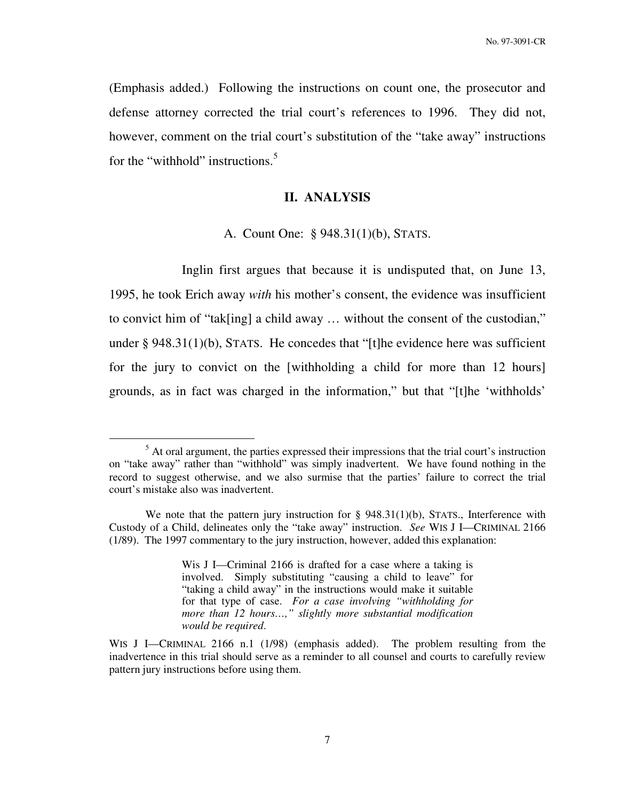(Emphasis added.) Following the instructions on count one, the prosecutor and defense attorney corrected the trial court's references to 1996. They did not, however, comment on the trial court's substitution of the "take away" instructions for the "withhold" instructions.<sup>5</sup>

## **II. ANALYSIS**

#### A. Count One: § 948.31(1)(b), STATS.

 Inglin first argues that because it is undisputed that, on June 13, 1995, he took Erich away *with* his mother's consent, the evidence was insufficient to convict him of "tak[ing] a child away … without the consent of the custodian," under § 948.31(1)(b), STATS. He concedes that "[t]he evidence here was sufficient for the jury to convict on the [withholding a child for more than 12 hours] grounds, as in fact was charged in the information," but that "[t]he 'withholds'

 $<sup>5</sup>$  At oral argument, the parties expressed their impressions that the trial court's instruction</sup> on "take away" rather than "withhold" was simply inadvertent. We have found nothing in the record to suggest otherwise, and we also surmise that the parties' failure to correct the trial court's mistake also was inadvertent.

We note that the pattern jury instruction for  $\S$  948.31(1)(b), STATS., Interference with Custody of a Child, delineates only the "take away" instruction. *See* WIS J I—CRIMINAL 2166 (1/89). The 1997 commentary to the jury instruction, however, added this explanation:

Wis J I—Criminal 2166 is drafted for a case where a taking is involved. Simply substituting "causing a child to leave" for "taking a child away" in the instructions would make it suitable for that type of case. *For a case involving "withholding for more than 12 hours…," slightly more substantial modification would be required*.

WIS J I—CRIMINAL 2166 n.1 (1/98) (emphasis added). The problem resulting from the inadvertence in this trial should serve as a reminder to all counsel and courts to carefully review pattern jury instructions before using them.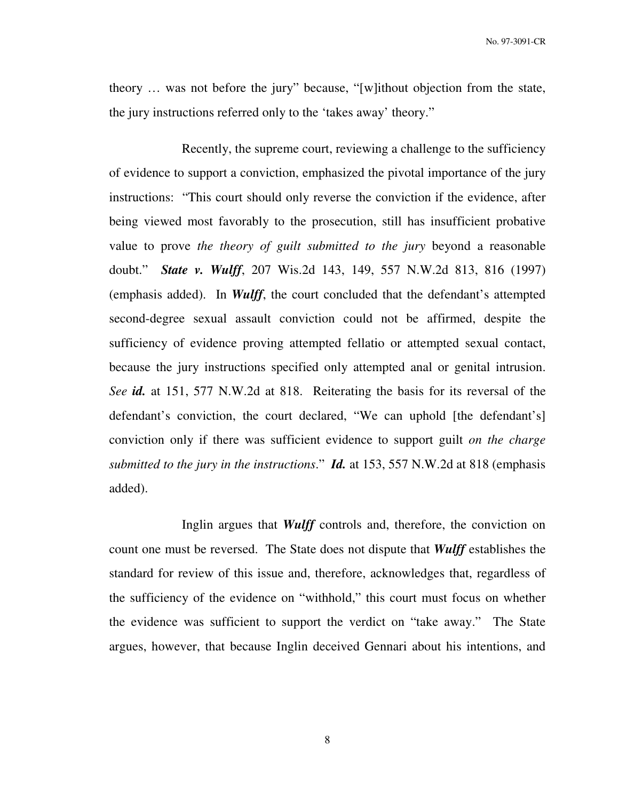No. 97-3091-CR

theory … was not before the jury" because, "[w]ithout objection from the state, the jury instructions referred only to the 'takes away' theory."

 Recently, the supreme court, reviewing a challenge to the sufficiency of evidence to support a conviction, emphasized the pivotal importance of the jury instructions: "This court should only reverse the conviction if the evidence, after being viewed most favorably to the prosecution, still has insufficient probative value to prove *the theory of guilt submitted to the jury* beyond a reasonable doubt." *State v. Wulff*, 207 Wis.2d 143, 149, 557 N.W.2d 813, 816 (1997) (emphasis added). In *Wulff*, the court concluded that the defendant's attempted second-degree sexual assault conviction could not be affirmed, despite the sufficiency of evidence proving attempted fellatio or attempted sexual contact, because the jury instructions specified only attempted anal or genital intrusion. *See id.* at 151, 577 N.W.2d at 818. Reiterating the basis for its reversal of the defendant's conviction, the court declared, "We can uphold [the defendant's] conviction only if there was sufficient evidence to support guilt *on the charge submitted to the jury in the instructions*." *Id.* at 153, 557 N.W.2d at 818 (emphasis added).

 Inglin argues that *Wulff* controls and, therefore, the conviction on count one must be reversed. The State does not dispute that *Wulff* establishes the standard for review of this issue and, therefore, acknowledges that, regardless of the sufficiency of the evidence on "withhold," this court must focus on whether the evidence was sufficient to support the verdict on "take away." The State argues, however, that because Inglin deceived Gennari about his intentions, and

8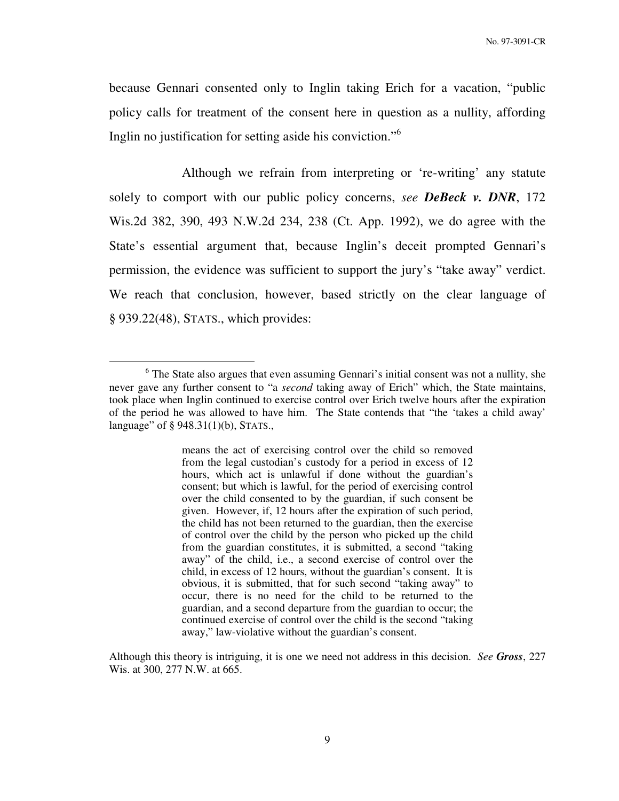because Gennari consented only to Inglin taking Erich for a vacation, "public policy calls for treatment of the consent here in question as a nullity, affording Inglin no justification for setting aside his conviction."<sup>6</sup>

 Although we refrain from interpreting or 're-writing' any statute solely to comport with our public policy concerns, *see DeBeck v. DNR*, 172 Wis.2d 382, 390, 493 N.W.2d 234, 238 (Ct. App. 1992), we do agree with the State's essential argument that, because Inglin's deceit prompted Gennari's permission, the evidence was sufficient to support the jury's "take away" verdict. We reach that conclusion, however, based strictly on the clear language of § 939.22(48), STATS., which provides:

 $\overline{a}$ 

means the act of exercising control over the child so removed from the legal custodian's custody for a period in excess of 12 hours, which act is unlawful if done without the guardian's consent; but which is lawful, for the period of exercising control over the child consented to by the guardian, if such consent be given. However, if, 12 hours after the expiration of such period, the child has not been returned to the guardian, then the exercise of control over the child by the person who picked up the child from the guardian constitutes, it is submitted, a second "taking away" of the child, i.e., a second exercise of control over the child, in excess of 12 hours, without the guardian's consent. It is obvious, it is submitted, that for such second "taking away" to occur, there is no need for the child to be returned to the guardian, and a second departure from the guardian to occur; the continued exercise of control over the child is the second "taking away," law-violative without the guardian's consent.

Although this theory is intriguing, it is one we need not address in this decision. *See Gross*, 227 Wis. at 300, 277 N.W. at 665.

<sup>&</sup>lt;sup>6</sup> The State also argues that even assuming Gennari's initial consent was not a nullity, she never gave any further consent to "a *second* taking away of Erich" which, the State maintains, took place when Inglin continued to exercise control over Erich twelve hours after the expiration of the period he was allowed to have him. The State contends that "the 'takes a child away' language" of § 948.31(1)(b), STATS.,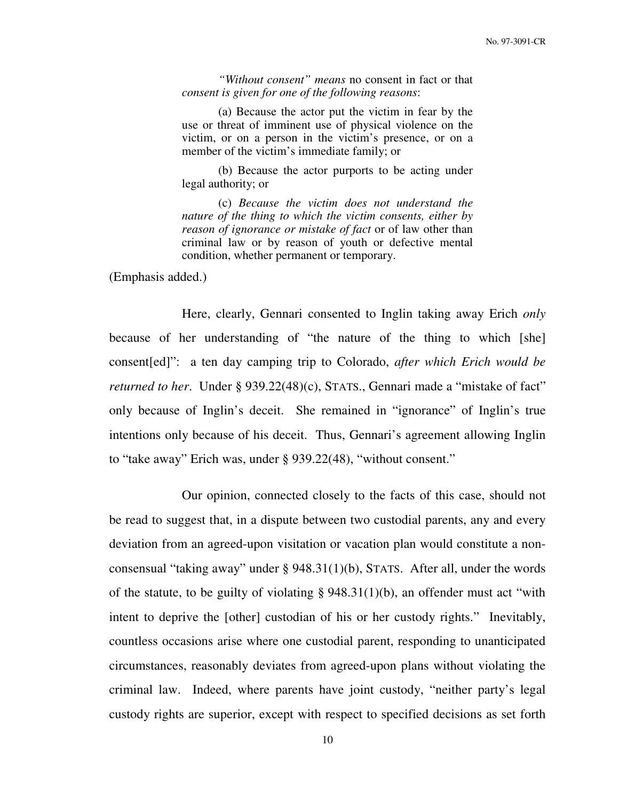*"Without consent" means* no consent in fact or that *consent is given for one of the following reasons*:

 (a) Because the actor put the victim in fear by the use or threat of imminent use of physical violence on the victim, or on a person in the victim's presence, or on a member of the victim's immediate family; or

 (b) Because the actor purports to be acting under legal authority; or

 (c) *Because the victim does not understand the nature of the thing to which the victim consents, either by reason of ignorance or mistake of fact* or of law other than criminal law or by reason of youth or defective mental condition, whether permanent or temporary.

(Emphasis added.)

 Here, clearly, Gennari consented to Inglin taking away Erich *only* because of her understanding of "the nature of the thing to which [she] consent[ed]": a ten day camping trip to Colorado, *after which Erich would be returned to her.* Under § 939.22(48)(c), STATS., Gennari made a "mistake of fact" only because of Inglin's deceit. She remained in "ignorance" of Inglin's true intentions only because of his deceit. Thus, Gennari's agreement allowing Inglin to "take away" Erich was, under § 939.22(48), "without consent."

 Our opinion, connected closely to the facts of this case, should not be read to suggest that, in a dispute between two custodial parents, any and every deviation from an agreed-upon visitation or vacation plan would constitute a nonconsensual "taking away" under § 948.31(1)(b), STATS. After all, under the words of the statute, to be guilty of violating  $\S 948.31(1)(b)$ , an offender must act "with intent to deprive the [other] custodian of his or her custody rights." Inevitably, countless occasions arise where one custodial parent, responding to unanticipated circumstances, reasonably deviates from agreed-upon plans without violating the criminal law. Indeed, where parents have joint custody, "neither party's legal custody rights are superior, except with respect to specified decisions as set forth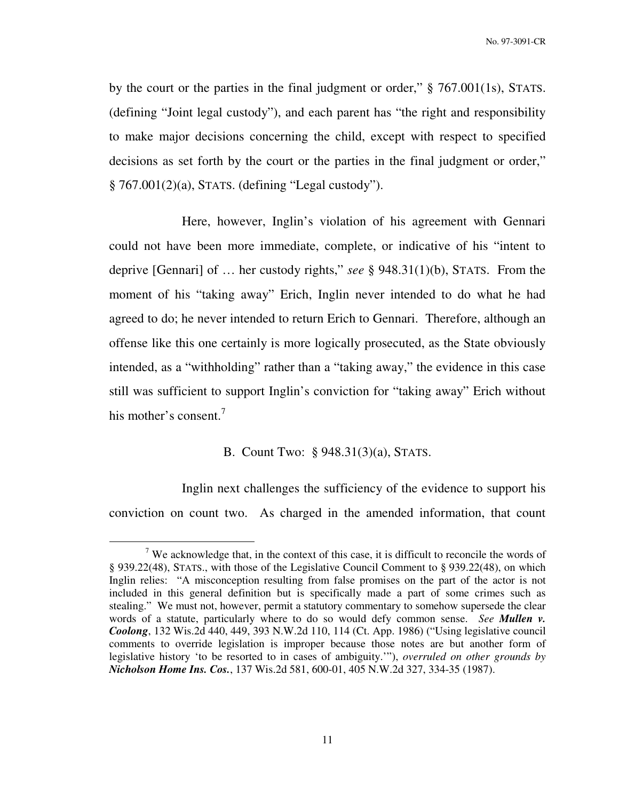by the court or the parties in the final judgment or order," § 767.001(1s), STATS. (defining "Joint legal custody"), and each parent has "the right and responsibility to make major decisions concerning the child, except with respect to specified decisions as set forth by the court or the parties in the final judgment or order," § 767.001(2)(a), STATS. (defining "Legal custody").

 Here, however, Inglin's violation of his agreement with Gennari could not have been more immediate, complete, or indicative of his "intent to deprive [Gennari] of … her custody rights," *see* § 948.31(1)(b), STATS. From the moment of his "taking away" Erich, Inglin never intended to do what he had agreed to do; he never intended to return Erich to Gennari. Therefore, although an offense like this one certainly is more logically prosecuted, as the State obviously intended, as a "withholding" rather than a "taking away," the evidence in this case still was sufficient to support Inglin's conviction for "taking away" Erich without his mother's consent.<sup>7</sup>

# B. Count Two: § 948.31(3)(a), STATS.

 Inglin next challenges the sufficiency of the evidence to support his conviction on count two. As charged in the amended information, that count

<sup>&</sup>lt;sup>7</sup> We acknowledge that, in the context of this case, it is difficult to reconcile the words of § 939.22(48), STATS., with those of the Legislative Council Comment to § 939.22(48), on which Inglin relies: "A misconception resulting from false promises on the part of the actor is not included in this general definition but is specifically made a part of some crimes such as stealing." We must not, however, permit a statutory commentary to somehow supersede the clear words of a statute, particularly where to do so would defy common sense. *See Mullen v. Coolong*, 132 Wis.2d 440, 449, 393 N.W.2d 110, 114 (Ct. App. 1986) ("Using legislative council comments to override legislation is improper because those notes are but another form of legislative history 'to be resorted to in cases of ambiguity.'"), *overruled on other grounds by Nicholson Home Ins. Cos.*, 137 Wis.2d 581, 600-01, 405 N.W.2d 327, 334-35 (1987).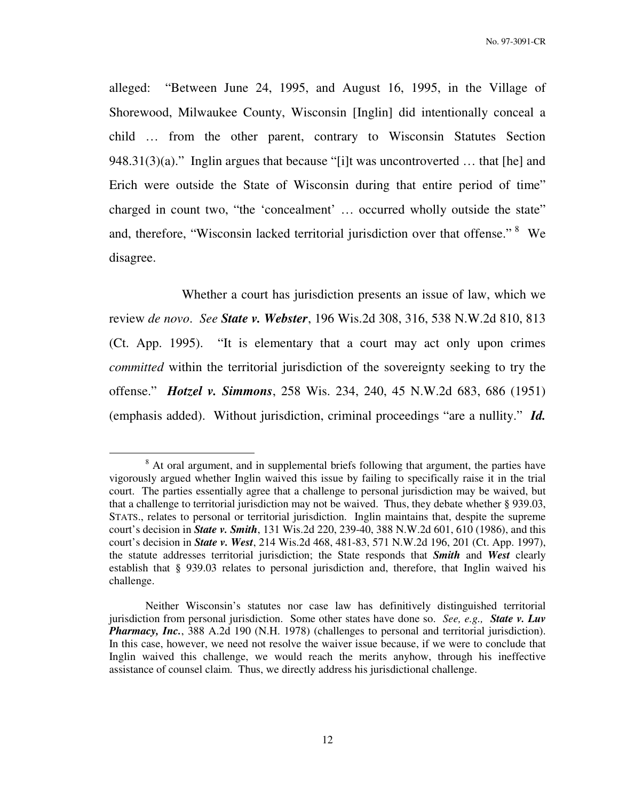alleged: "Between June 24, 1995, and August 16, 1995, in the Village of Shorewood, Milwaukee County, Wisconsin [Inglin] did intentionally conceal a child … from the other parent, contrary to Wisconsin Statutes Section 948.31(3)(a)." Inglin argues that because "[i]t was uncontroverted  $\dots$  that [he] and Erich were outside the State of Wisconsin during that entire period of time" charged in count two, "the 'concealment' … occurred wholly outside the state" and, therefore, "Wisconsin lacked territorial jurisdiction over that offense." <sup>8</sup> We disagree.

 Whether a court has jurisdiction presents an issue of law, which we review *de novo*. *See State v. Webster*, 196 Wis.2d 308, 316, 538 N.W.2d 810, 813 (Ct. App. 1995). "It is elementary that a court may act only upon crimes *committed* within the territorial jurisdiction of the sovereignty seeking to try the offense." *Hotzel v. Simmons*, 258 Wis. 234, 240, 45 N.W.2d 683, 686 (1951) (emphasis added). Without jurisdiction, criminal proceedings "are a nullity." *Id.*

<sup>&</sup>lt;sup>8</sup> At oral argument, and in supplemental briefs following that argument, the parties have vigorously argued whether Inglin waived this issue by failing to specifically raise it in the trial court. The parties essentially agree that a challenge to personal jurisdiction may be waived, but that a challenge to territorial jurisdiction may not be waived. Thus, they debate whether § 939.03, STATS., relates to personal or territorial jurisdiction. Inglin maintains that, despite the supreme court's decision in *State v. Smith*, 131 Wis.2d 220, 239-40, 388 N.W.2d 601, 610 (1986), and this court's decision in *State v. West*, 214 Wis.2d 468, 481-83, 571 N.W.2d 196, 201 (Ct. App. 1997), the statute addresses territorial jurisdiction; the State responds that *Smith* and *West* clearly establish that § 939.03 relates to personal jurisdiction and, therefore, that Inglin waived his challenge.

Neither Wisconsin's statutes nor case law has definitively distinguished territorial jurisdiction from personal jurisdiction. Some other states have done so. *See, e.g., State v. Luv Pharmacy, Inc.*, 388 A.2d 190 (N.H. 1978) (challenges to personal and territorial jurisdiction). In this case, however, we need not resolve the waiver issue because, if we were to conclude that Inglin waived this challenge, we would reach the merits anyhow, through his ineffective assistance of counsel claim. Thus, we directly address his jurisdictional challenge.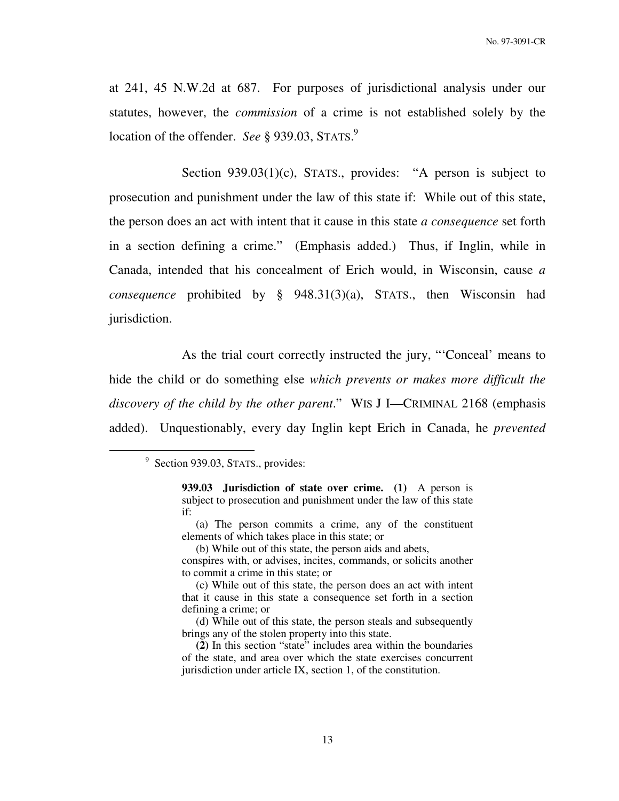at 241, 45 N.W.2d at 687. For purposes of jurisdictional analysis under our statutes, however, the *commission* of a crime is not established solely by the location of the offender. *See* § 939.03, STATS. 9

Section 939.03(1)(c), STATS., provides: "A person is subject to prosecution and punishment under the law of this state if: While out of this state, the person does an act with intent that it cause in this state *a consequence* set forth in a section defining a crime." (Emphasis added.) Thus, if Inglin, while in Canada, intended that his concealment of Erich would, in Wisconsin, cause *a consequence* prohibited by § 948.31(3)(a), STATS., then Wisconsin had jurisdiction.

 As the trial court correctly instructed the jury, "'Conceal' means to hide the child or do something else *which prevents or makes more difficult the discovery of the child by the other parent*." WIS J I—CRIMINAL 2168 (emphasis added). Unquestionably, every day Inglin kept Erich in Canada, he *prevented*

<sup>&</sup>lt;sup>9</sup> Section 939.03, STATS., provides:

**<sup>939.03</sup> Jurisdiction of state over crime. (1)** A person is subject to prosecution and punishment under the law of this state if:

 <sup>(</sup>a) The person commits a crime, any of the constituent elements of which takes place in this state; or

 <sup>(</sup>b) While out of this state, the person aids and abets,

conspires with, or advises, incites, commands, or solicits another to commit a crime in this state; or

 <sup>(</sup>c) While out of this state, the person does an act with intent that it cause in this state a consequence set forth in a section defining a crime; or

 <sup>(</sup>d) While out of this state, the person steals and subsequently brings any of the stolen property into this state.

**(2)** In this section "state" includes area within the boundaries of the state, and area over which the state exercises concurrent jurisdiction under article IX, section 1, of the constitution.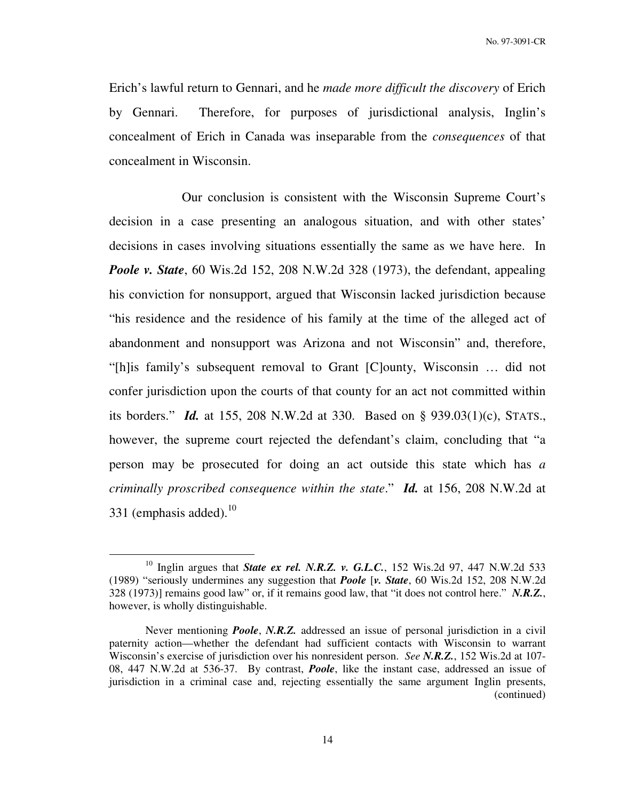Erich's lawful return to Gennari, and he *made more difficult the discovery* of Erich by Gennari. Therefore, for purposes of jurisdictional analysis, Inglin's concealment of Erich in Canada was inseparable from the *consequences* of that concealment in Wisconsin.

 Our conclusion is consistent with the Wisconsin Supreme Court's decision in a case presenting an analogous situation, and with other states' decisions in cases involving situations essentially the same as we have here. In *Poole v. State*, 60 Wis.2d 152, 208 N.W.2d 328 (1973), the defendant, appealing his conviction for nonsupport, argued that Wisconsin lacked jurisdiction because "his residence and the residence of his family at the time of the alleged act of abandonment and nonsupport was Arizona and not Wisconsin" and, therefore, "[h]is family's subsequent removal to Grant [C]ounty, Wisconsin … did not confer jurisdiction upon the courts of that county for an act not committed within its borders." *Id.* at 155, 208 N.W.2d at 330. Based on § 939.03(1)(c), STATS., however, the supreme court rejected the defendant's claim, concluding that "a person may be prosecuted for doing an act outside this state which has *a criminally proscribed consequence within the state*." *Id.* at 156, 208 N.W.2d at 331 (emphasis added). $10$ 

<sup>&</sup>lt;sup>10</sup> Inglin argues that *State ex rel. N.R.Z. v. G.L.C.*, 152 Wis.2d 97, 447 N.W.2d 533 (1989) "seriously undermines any suggestion that *Poole* [*v. State*, 60 Wis.2d 152, 208 N.W.2d 328 (1973)] remains good law" or, if it remains good law, that "it does not control here." *N.R.Z.*, however, is wholly distinguishable.

Never mentioning *Poole*, *N.R.Z.* addressed an issue of personal jurisdiction in a civil paternity action—whether the defendant had sufficient contacts with Wisconsin to warrant Wisconsin's exercise of jurisdiction over his nonresident person. *See N.R.Z.*, 152 Wis.2d at 107- 08, 447 N.W.2d at 536-37. By contrast, *Poole*, like the instant case, addressed an issue of jurisdiction in a criminal case and, rejecting essentially the same argument Inglin presents, (continued)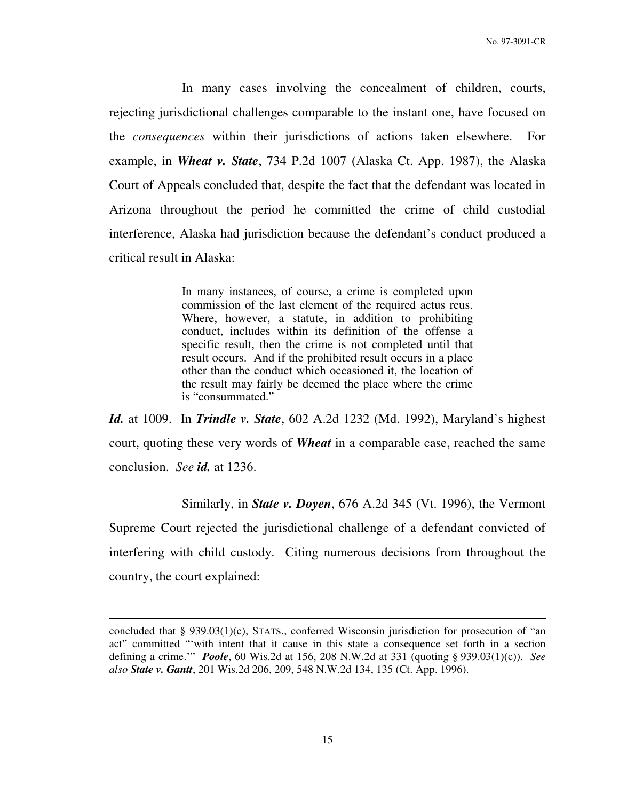In many cases involving the concealment of children, courts, rejecting jurisdictional challenges comparable to the instant one, have focused on the *consequences* within their jurisdictions of actions taken elsewhere. For example, in *Wheat v. State*, 734 P.2d 1007 (Alaska Ct. App. 1987), the Alaska Court of Appeals concluded that, despite the fact that the defendant was located in Arizona throughout the period he committed the crime of child custodial interference, Alaska had jurisdiction because the defendant's conduct produced a critical result in Alaska:

> In many instances, of course, a crime is completed upon commission of the last element of the required actus reus. Where, however, a statute, in addition to prohibiting conduct, includes within its definition of the offense a specific result, then the crime is not completed until that result occurs. And if the prohibited result occurs in a place other than the conduct which occasioned it, the location of the result may fairly be deemed the place where the crime is "consummated."

*Id.* at 1009. In *Trindle v. State*, 602 A.2d 1232 (Md. 1992), Maryland's highest court, quoting these very words of *Wheat* in a comparable case, reached the same conclusion. *See id.* at 1236.

 Similarly, in *State v. Doyen*, 676 A.2d 345 (Vt. 1996), the Vermont Supreme Court rejected the jurisdictional challenge of a defendant convicted of interfering with child custody. Citing numerous decisions from throughout the country, the court explained:

concluded that § 939.03(1)(c), STATS., conferred Wisconsin jurisdiction for prosecution of "an act" committed "'with intent that it cause in this state a consequence set forth in a section defining a crime.'" *Poole*, 60 Wis.2d at 156, 208 N.W.2d at 331 (quoting § 939.03(1)(c)). *See also State v. Gantt*, 201 Wis.2d 206, 209, 548 N.W.2d 134, 135 (Ct. App. 1996).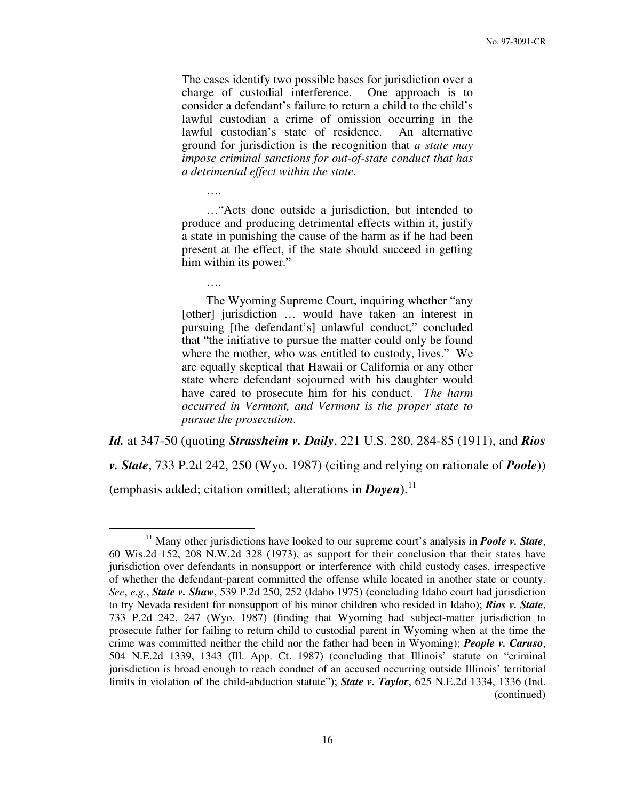The cases identify two possible bases for jurisdiction over a charge of custodial interference. One approach is to consider a defendant's failure to return a child to the child's lawful custodian a crime of omission occurring in the lawful custodian's state of residence. An alternative ground for jurisdiction is the recognition that *a state may impose criminal sanctions for out-of-state conduct that has a detrimental effect within the state*.

 …"Acts done outside a jurisdiction, but intended to produce and producing detrimental effects within it, justify a state in punishing the cause of the harm as if he had been present at the effect, if the state should succeed in getting him within its power."

 The Wyoming Supreme Court, inquiring whether "any [other] jurisdiction … would have taken an interest in pursuing [the defendant's] unlawful conduct," concluded that "the initiative to pursue the matter could only be found where the mother, who was entitled to custody, lives." We are equally skeptical that Hawaii or California or any other state where defendant sojourned with his daughter would have cared to prosecute him for his conduct. *The harm occurred in Vermont, and Vermont is the proper state to pursue the prosecution*.

*Id.* at 347-50 (quoting *Strassheim v. Daily*, 221 U.S. 280, 284-85 (1911), and *Rios* 

*v. State*, 733 P.2d 242, 250 (Wyo. 1987) (citing and relying on rationale of *Poole*))

(emphasis added; citation omitted; alterations in *Doyen*).<sup>11</sup>

….

….

<sup>&</sup>lt;sup>11</sup> Many other jurisdictions have looked to our supreme court's analysis in *Poole v. State*, 60 Wis.2d 152, 208 N.W.2d 328 (1973), as support for their conclusion that their states have jurisdiction over defendants in nonsupport or interference with child custody cases, irrespective of whether the defendant-parent committed the offense while located in another state or county. *See*, *e.g.*, *State v. Shaw*, 539 P.2d 250, 252 (Idaho 1975) (concluding Idaho court had jurisdiction to try Nevada resident for nonsupport of his minor children who resided in Idaho); *Rios v. State*, 733 P.2d 242, 247 (Wyo. 1987) (finding that Wyoming had subject-matter jurisdiction to prosecute father for failing to return child to custodial parent in Wyoming when at the time the crime was committed neither the child nor the father had been in Wyoming); *People v. Caruso*, 504 N.E.2d 1339, 1343 (Ill. App. Ct. 1987) (concluding that Illinois' statute on "criminal jurisdiction is broad enough to reach conduct of an accused occurring outside Illinois' territorial limits in violation of the child-abduction statute"); *State v. Taylor*, 625 N.E.2d 1334, 1336 (Ind. (continued)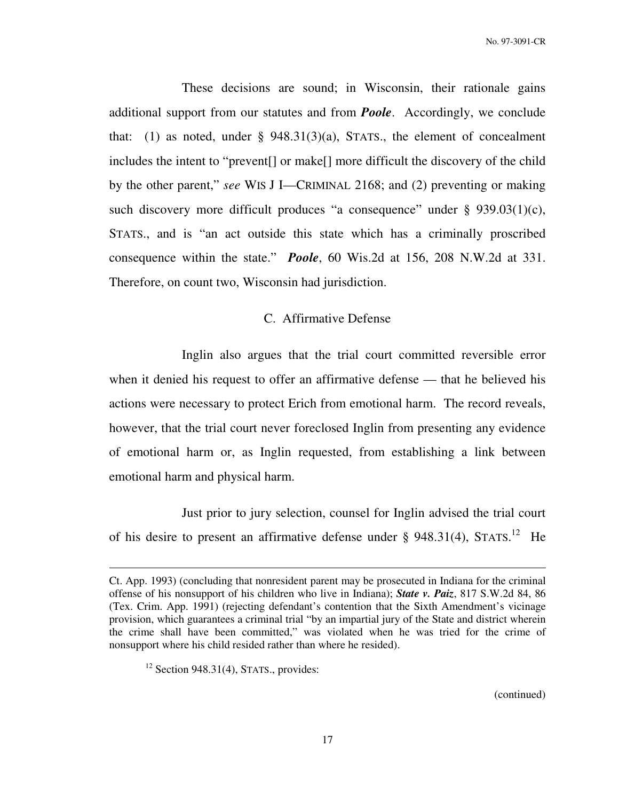These decisions are sound; in Wisconsin, their rationale gains additional support from our statutes and from *Poole*. Accordingly, we conclude that: (1) as noted, under  $\S$  948.31(3)(a), STATS., the element of concealment includes the intent to "prevent[] or make[] more difficult the discovery of the child by the other parent," *see* WIS J I—CRIMINAL 2168; and (2) preventing or making such discovery more difficult produces "a consequence" under  $\S$  939.03(1)(c), STATS., and is "an act outside this state which has a criminally proscribed consequence within the state." *Poole*, 60 Wis.2d at 156, 208 N.W.2d at 331. Therefore, on count two, Wisconsin had jurisdiction.

## C. Affirmative Defense

 Inglin also argues that the trial court committed reversible error when it denied his request to offer an affirmative defense — that he believed his actions were necessary to protect Erich from emotional harm. The record reveals, however, that the trial court never foreclosed Inglin from presenting any evidence of emotional harm or, as Inglin requested, from establishing a link between emotional harm and physical harm.

 Just prior to jury selection, counsel for Inglin advised the trial court of his desire to present an affirmative defense under § 948.31(4), STATS.<sup>12</sup> He

 $\overline{a}$ 

(continued)

Ct. App. 1993) (concluding that nonresident parent may be prosecuted in Indiana for the criminal offense of his nonsupport of his children who live in Indiana); *State v. Paiz*, 817 S.W.2d 84, 86 (Tex. Crim. App. 1991) (rejecting defendant's contention that the Sixth Amendment's vicinage provision, which guarantees a criminal trial "by an impartial jury of the State and district wherein the crime shall have been committed," was violated when he was tried for the crime of nonsupport where his child resided rather than where he resided).

 $12$  Section 948.31(4), STATS., provides: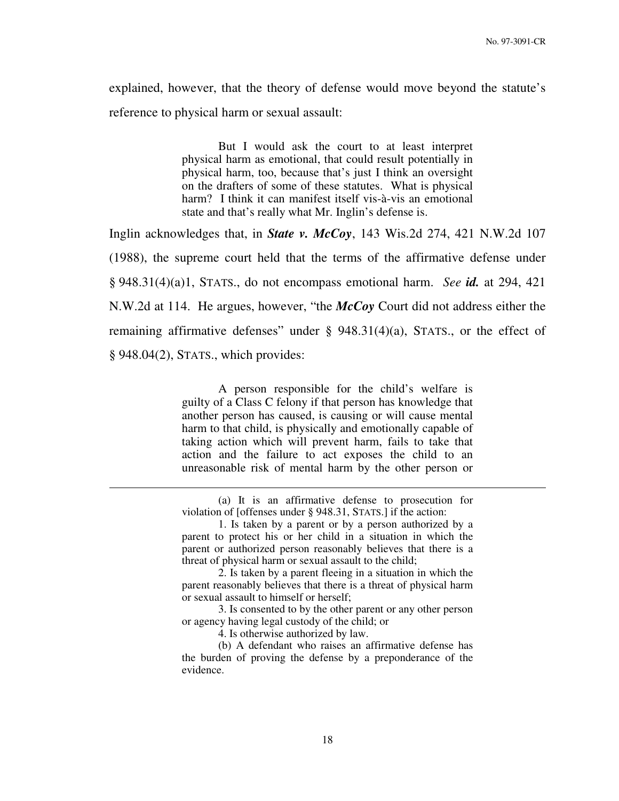explained, however, that the theory of defense would move beyond the statute's reference to physical harm or sexual assault:

> But I would ask the court to at least interpret physical harm as emotional, that could result potentially in physical harm, too, because that's just I think an oversight on the drafters of some of these statutes. What is physical harm? I think it can manifest itself vis-à-vis an emotional state and that's really what Mr. Inglin's defense is.

Inglin acknowledges that, in *State v. McCoy*, 143 Wis.2d 274, 421 N.W.2d 107 (1988), the supreme court held that the terms of the affirmative defense under § 948.31(4)(a)1, STATS., do not encompass emotional harm. *See id.* at 294, 421 N.W.2d at 114. He argues, however, "the *McCoy* Court did not address either the remaining affirmative defenses" under  $\S$  948.31(4)(a), STATS., or the effect of § 948.04(2), STATS., which provides:

> A person responsible for the child's welfare is guilty of a Class C felony if that person has knowledge that another person has caused, is causing or will cause mental harm to that child, is physically and emotionally capable of taking action which will prevent harm, fails to take that action and the failure to act exposes the child to an unreasonable risk of mental harm by the other person or

> (a) It is an affirmative defense to prosecution for violation of [offenses under § 948.31, STATS.] if the action:

 3. Is consented to by the other parent or any other person or agency having legal custody of the child; or

4. Is otherwise authorized by law.

 <sup>1.</sup> Is taken by a parent or by a person authorized by a parent to protect his or her child in a situation in which the parent or authorized person reasonably believes that there is a threat of physical harm or sexual assault to the child;

 <sup>2.</sup> Is taken by a parent fleeing in a situation in which the parent reasonably believes that there is a threat of physical harm or sexual assault to himself or herself;

<sup>(</sup>b) A defendant who raises an affirmative defense has the burden of proving the defense by a preponderance of the evidence.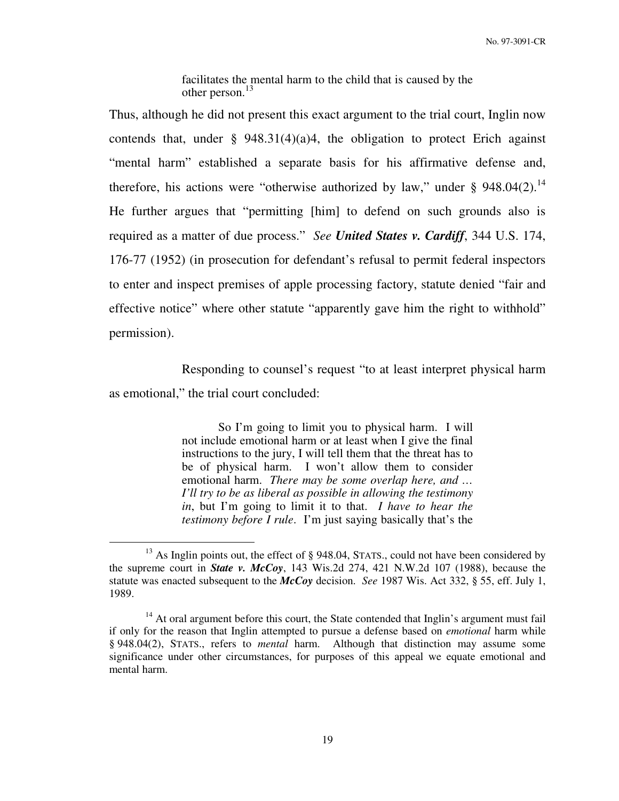facilitates the mental harm to the child that is caused by the other person.<sup>13</sup>

Thus, although he did not present this exact argument to the trial court, Inglin now contends that, under  $\S$  948.31(4)(a)4, the obligation to protect Erich against "mental harm" established a separate basis for his affirmative defense and, therefore, his actions were "otherwise authorized by law," under  $\S$  948.04(2).<sup>14</sup> He further argues that "permitting [him] to defend on such grounds also is required as a matter of due process." *See United States v. Cardiff*, 344 U.S. 174, 176-77 (1952) (in prosecution for defendant's refusal to permit federal inspectors to enter and inspect premises of apple processing factory, statute denied "fair and effective notice" where other statute "apparently gave him the right to withhold" permission).

 Responding to counsel's request "to at least interpret physical harm as emotional," the trial court concluded:

> So I'm going to limit you to physical harm. I will not include emotional harm or at least when I give the final instructions to the jury, I will tell them that the threat has to be of physical harm. I won't allow them to consider emotional harm. *There may be some overlap here, and … I'll try to be as liberal as possible in allowing the testimony in*, but I'm going to limit it to that. *I have to hear the testimony before I rule*. I'm just saying basically that's the

<sup>&</sup>lt;sup>13</sup> As Inglin points out, the effect of § 948.04, STATS., could not have been considered by the supreme court in *State v. McCoy*, 143 Wis.2d 274, 421 N.W.2d 107 (1988), because the statute was enacted subsequent to the *McCoy* decision. *See* 1987 Wis. Act 332, § 55, eff. July 1, 1989.

 $14$  At oral argument before this court, the State contended that Inglin's argument must fail if only for the reason that Inglin attempted to pursue a defense based on *emotional* harm while § 948.04(2), STATS., refers to *mental* harm. Although that distinction may assume some significance under other circumstances, for purposes of this appeal we equate emotional and mental harm.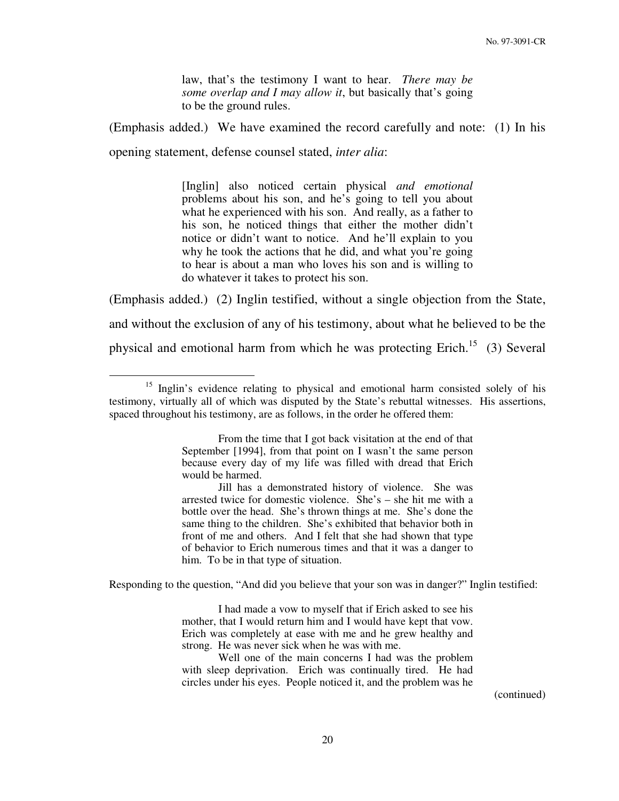law, that's the testimony I want to hear. *There may be some overlap and I may allow it*, but basically that's going to be the ground rules.

(Emphasis added.) We have examined the record carefully and note: (1) In his

opening statement, defense counsel stated, *inter alia*:

 $\overline{a}$ 

[Inglin] also noticed certain physical *and emotional* problems about his son, and he's going to tell you about what he experienced with his son. And really, as a father to his son, he noticed things that either the mother didn't notice or didn't want to notice. And he'll explain to you why he took the actions that he did, and what you're going to hear is about a man who loves his son and is willing to do whatever it takes to protect his son.

(Emphasis added.) (2) Inglin testified, without a single objection from the State, and without the exclusion of any of his testimony, about what he believed to be the physical and emotional harm from which he was protecting Erich.<sup>15</sup> (3) Several

Responding to the question, "And did you believe that your son was in danger?" Inglin testified:

(continued)

<sup>&</sup>lt;sup>15</sup> Inglin's evidence relating to physical and emotional harm consisted solely of his testimony, virtually all of which was disputed by the State's rebuttal witnesses. His assertions, spaced throughout his testimony, are as follows, in the order he offered them:

From the time that I got back visitation at the end of that September [1994], from that point on I wasn't the same person because every day of my life was filled with dread that Erich would be harmed.

Jill has a demonstrated history of violence. She was arrested twice for domestic violence. She's – she hit me with a bottle over the head. She's thrown things at me. She's done the same thing to the children. She's exhibited that behavior both in front of me and others. And I felt that she had shown that type of behavior to Erich numerous times and that it was a danger to him. To be in that type of situation.

I had made a vow to myself that if Erich asked to see his mother, that I would return him and I would have kept that vow. Erich was completely at ease with me and he grew healthy and strong. He was never sick when he was with me.

Well one of the main concerns I had was the problem with sleep deprivation. Erich was continually tired. He had circles under his eyes. People noticed it, and the problem was he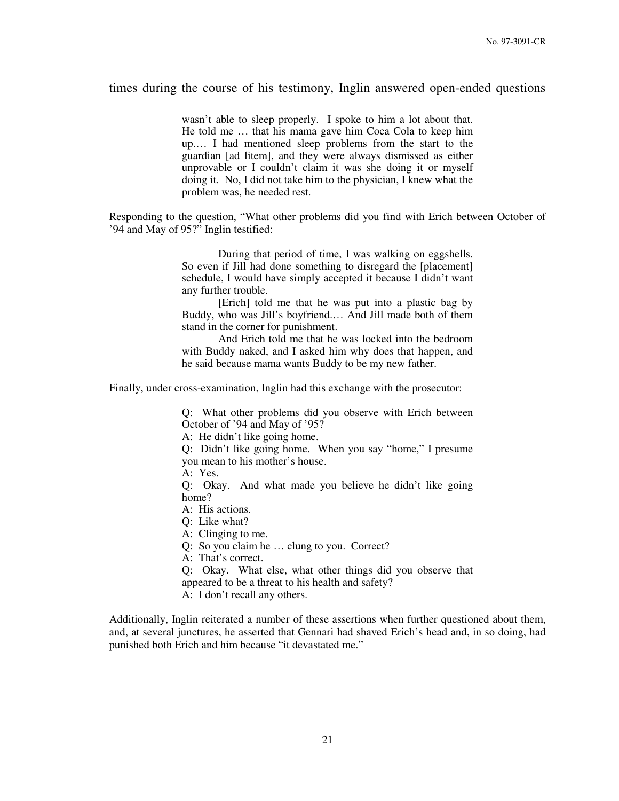times during the course of his testimony, Inglin answered open-ended questions

wasn't able to sleep properly. I spoke to him a lot about that. He told me … that his mama gave him Coca Cola to keep him up.… I had mentioned sleep problems from the start to the guardian [ad litem], and they were always dismissed as either unprovable or I couldn't claim it was she doing it or myself doing it. No, I did not take him to the physician, I knew what the problem was, he needed rest.

Responding to the question, "What other problems did you find with Erich between October of '94 and May of 95?" Inglin testified:

> During that period of time, I was walking on eggshells. So even if Jill had done something to disregard the [placement] schedule, I would have simply accepted it because I didn't want any further trouble.

> [Erich] told me that he was put into a plastic bag by Buddy, who was Jill's boyfriend.… And Jill made both of them stand in the corner for punishment.

> And Erich told me that he was locked into the bedroom with Buddy naked, and I asked him why does that happen, and he said because mama wants Buddy to be my new father.

Finally, under cross-examination, Inglin had this exchange with the prosecutor:

Q: What other problems did you observe with Erich between October of '94 and May of '95?

A: He didn't like going home.

Q: Didn't like going home. When you say "home," I presume you mean to his mother's house.

A: Yes.

 $\overline{a}$ 

Q: Okay. And what made you believe he didn't like going home?

A: His actions.

Q: Like what?

A: Clinging to me.

Q: So you claim he … clung to you. Correct?

A: That's correct.

Q: Okay. What else, what other things did you observe that

appeared to be a threat to his health and safety?

A: I don't recall any others.

Additionally, Inglin reiterated a number of these assertions when further questioned about them, and, at several junctures, he asserted that Gennari had shaved Erich's head and, in so doing, had punished both Erich and him because "it devastated me."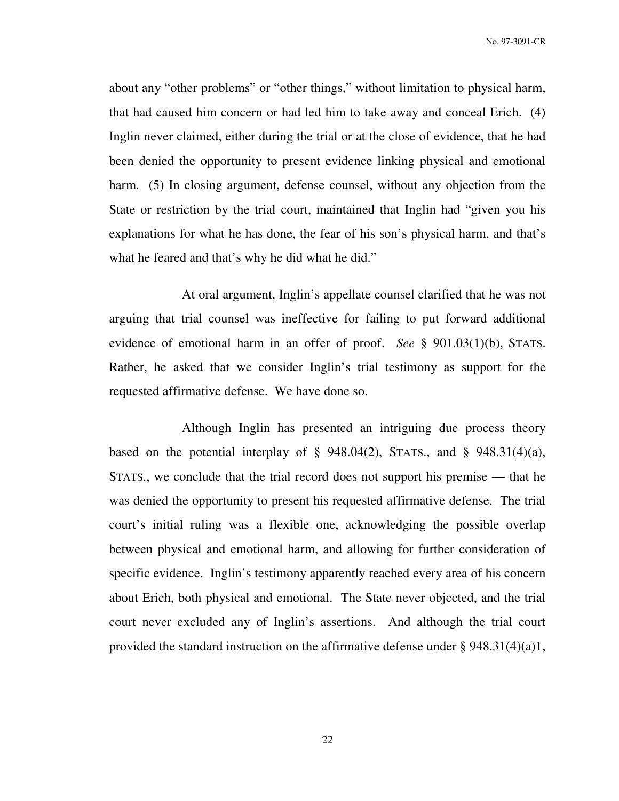about any "other problems" or "other things," without limitation to physical harm, that had caused him concern or had led him to take away and conceal Erich. (4) Inglin never claimed, either during the trial or at the close of evidence, that he had been denied the opportunity to present evidence linking physical and emotional harm. (5) In closing argument, defense counsel, without any objection from the State or restriction by the trial court, maintained that Inglin had "given you his explanations for what he has done, the fear of his son's physical harm, and that's what he feared and that's why he did what he did."

 At oral argument, Inglin's appellate counsel clarified that he was not arguing that trial counsel was ineffective for failing to put forward additional evidence of emotional harm in an offer of proof. *See* § 901.03(1)(b), STATS. Rather, he asked that we consider Inglin's trial testimony as support for the requested affirmative defense. We have done so.

 Although Inglin has presented an intriguing due process theory based on the potential interplay of  $\S$  948.04(2), STATS., and  $\S$  948.31(4)(a), STATS., we conclude that the trial record does not support his premise — that he was denied the opportunity to present his requested affirmative defense. The trial court's initial ruling was a flexible one, acknowledging the possible overlap between physical and emotional harm, and allowing for further consideration of specific evidence. Inglin's testimony apparently reached every area of his concern about Erich, both physical and emotional. The State never objected, and the trial court never excluded any of Inglin's assertions. And although the trial court provided the standard instruction on the affirmative defense under § 948.31(4)(a)1,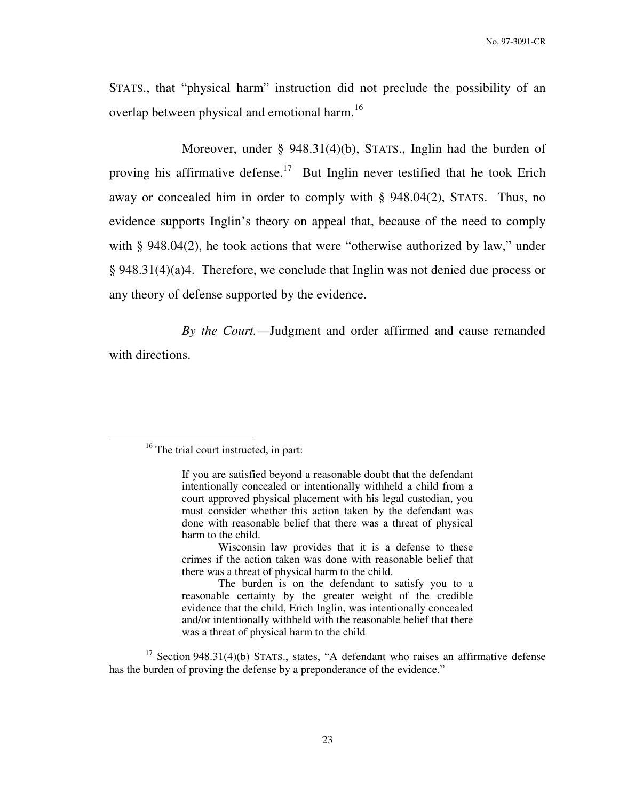STATS., that "physical harm" instruction did not preclude the possibility of an overlap between physical and emotional harm.<sup>16</sup>

 Moreover, under § 948.31(4)(b), STATS., Inglin had the burden of proving his affirmative defense.<sup>17</sup> But Inglin never testified that he took Erich away or concealed him in order to comply with § 948.04(2), STATS. Thus, no evidence supports Inglin's theory on appeal that, because of the need to comply with § 948.04(2), he took actions that were "otherwise authorized by law," under § 948.31(4)(a)4. Therefore, we conclude that Inglin was not denied due process or any theory of defense supported by the evidence.

*By the Court.*—Judgment and order affirmed and cause remanded with directions.

 $\overline{a}$ 

 $17$  Section 948.31(4)(b) STATS., states, "A defendant who raises an affirmative defense has the burden of proving the defense by a preponderance of the evidence."

<sup>&</sup>lt;sup>16</sup> The trial court instructed, in part:

If you are satisfied beyond a reasonable doubt that the defendant intentionally concealed or intentionally withheld a child from a court approved physical placement with his legal custodian, you must consider whether this action taken by the defendant was done with reasonable belief that there was a threat of physical harm to the child.

Wisconsin law provides that it is a defense to these crimes if the action taken was done with reasonable belief that there was a threat of physical harm to the child.

The burden is on the defendant to satisfy you to a reasonable certainty by the greater weight of the credible evidence that the child, Erich Inglin, was intentionally concealed and/or intentionally withheld with the reasonable belief that there was a threat of physical harm to the child